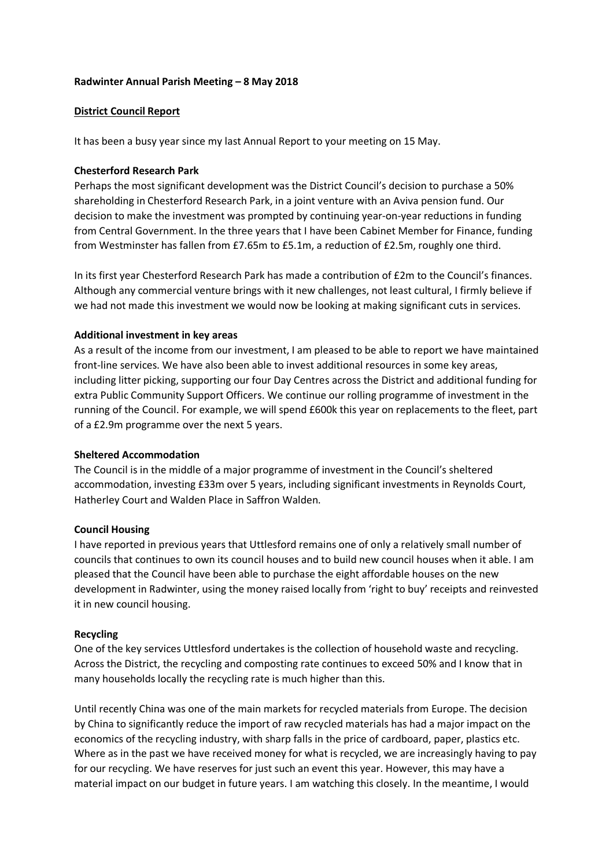#### **Radwinter Annual Parish Meeting – 8 May 2018**

# **District Council Report**

It has been a busy year since my last Annual Report to your meeting on 15 May.

## **Chesterford Research Park**

Perhaps the most significant development was the District Council's decision to purchase a 50% shareholding in Chesterford Research Park, in a joint venture with an Aviva pension fund. Our decision to make the investment was prompted by continuing year-on-year reductions in funding from Central Government. In the three years that I have been Cabinet Member for Finance, funding from Westminster has fallen from £7.65m to £5.1m, a reduction of £2.5m, roughly one third.

In its first year Chesterford Research Park has made a contribution of £2m to the Council's finances. Although any commercial venture brings with it new challenges, not least cultural, I firmly believe if we had not made this investment we would now be looking at making significant cuts in services.

## **Additional investment in key areas**

As a result of the income from our investment, I am pleased to be able to report we have maintained front-line services. We have also been able to invest additional resources in some key areas, including litter picking, supporting our four Day Centres across the District and additional funding for extra Public Community Support Officers. We continue our rolling programme of investment in the running of the Council. For example, we will spend £600k this year on replacements to the fleet, part of a £2.9m programme over the next 5 years.

#### **Sheltered Accommodation**

The Council is in the middle of a major programme of investment in the Council's sheltered accommodation, investing £33m over 5 years, including significant investments in Reynolds Court, Hatherley Court and Walden Place in Saffron Walden.

#### **Council Housing**

I have reported in previous years that Uttlesford remains one of only a relatively small number of councils that continues to own its council houses and to build new council houses when it able. I am pleased that the Council have been able to purchase the eight affordable houses on the new development in Radwinter, using the money raised locally from 'right to buy' receipts and reinvested it in new council housing.

# **Recycling**

One of the key services Uttlesford undertakes is the collection of household waste and recycling. Across the District, the recycling and composting rate continues to exceed 50% and I know that in many households locally the recycling rate is much higher than this.

Until recently China was one of the main markets for recycled materials from Europe. The decision by China to significantly reduce the import of raw recycled materials has had a major impact on the economics of the recycling industry, with sharp falls in the price of cardboard, paper, plastics etc. Where as in the past we have received money for what is recycled, we are increasingly having to pay for our recycling. We have reserves for just such an event this year. However, this may have a material impact on our budget in future years. I am watching this closely. In the meantime, I would